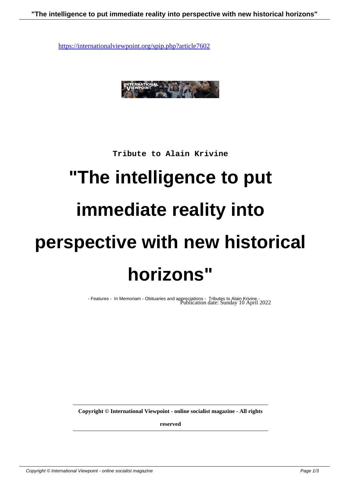

**Tribute to Alain Krivine**

## **"The intelligence to put immediate reality into perspective with new historical horizons"**

- Features - In Memoriam - Obituaries and appreciations - Tributes to Alain Krivine - Publication date: Sunday 10 April 2022

**Copyright © International Viewpoint - online socialist magazine - All rights**

**reserved**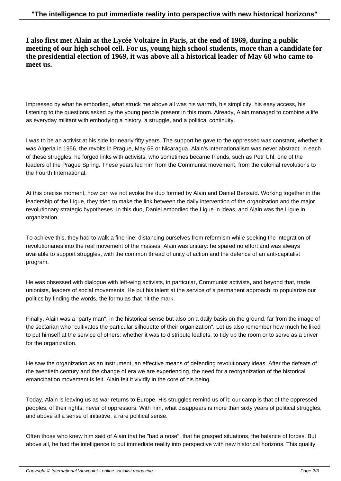**I also first met Alain at the Lycée Voltaire in Paris, at the end of 1969, during a public meeting of our high school cell. For us, young high school students, more than a candidate for the presidential election of 1969, it was above all a historical leader of May 68 who came to meet us.**

Impressed by what he embodied, what struck me above all was his warmth, his simplicity, his easy access, his listening to the questions asked by the young people present in this room. Already, Alain managed to combine a life as everyday militant with embodying a history, a struggle, and a political continuity.

I was to be an activist at his side for nearly fifty years. The support he gave to the oppressed was constant, whether it was Algeria in 1956, the revolts in Prague, May 68 or Nicaragua. Alain's internationalism was never abstract: in each of these struggles, he forged links with activists, who sometimes became friends, such as Petr Uhl, one of the leaders of the Prague Spring. These years led him from the Communist movement, from the colonial revolutions to the Fourth International.

At this precise moment, how can we not evoke the duo formed by Alain and Daniel Bensaïd. Working together in the leadership of the Ligue, they tried to make the link between the daily intervention of the organization and the major revolutionary strategic hypotheses. In this duo, Daniel embodied the Ligue in ideas, and Alain was the Ligue in organization.

To achieve this, they had to walk a fine line: distancing ourselves from reformism while seeking the integration of revolutionaries into the real movement of the masses. Alain was unitary: he spared no effort and was always available to support struggles, with the common thread of unity of action and the defence of an anti-capitalist program.

He was obsessed with dialogue with left-wing activists, in particular, Communist activists, and beyond that, trade unionists, leaders of social movements. He put his talent at the service of a permanent approach: to popularize our politics by finding the words, the formulas that hit the mark.

Finally, Alain was a "party man", in the historical sense but also on a daily basis on the ground, far from the image of the sectarian who "cultivates the particular silhouette of their organization". Let us also remember how much he liked to put himself at the service of others: whether it was to distribute leaflets, to tidy up the room or to serve as a driver for the organization.

He saw the organization as an instrument, an effective means of defending revolutionary ideas. After the defeats of the twentieth century and the change of era we are experiencing, the need for a reorganization of the historical emancipation movement is felt. Alain felt it vividly in the core of his being.

Today, Alain is leaving us as war returns to Europe. His struggles remind us of it: our camp is that of the oppressed peoples, of their rights, never of oppressors. With him, what disappears is more than sixty years of political struggles, and above all a sense of initiative, a rare political sense.

Often those who knew him said of Alain that he "had a nose", that he grasped situations, the balance of forces. But above all, he had the intelligence to put immediate reality into perspective with new historical horizons. This quality